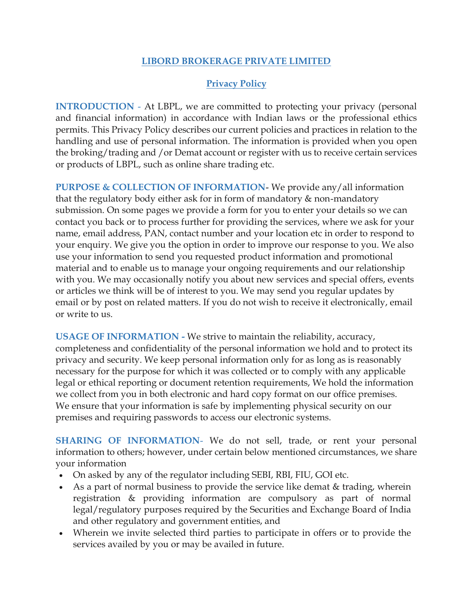## **LIBORD BROKERAGE PRIVATE LIMITED**

## **Privacy Policy**

**INTRODUCTION** - At LBPL, we are committed to protecting your privacy (personal and financial information) in accordance with Indian laws or the professional ethics permits. This Privacy Policy describes our current policies and practices in relation to the handling and use of personal information. The information is provided when you open the broking/trading and /or Demat account or register with us to receive certain services or products of LBPL, such as online share trading etc.

**PURPOSE & COLLECTION OF INFORMATION**- We provide any/all information that the regulatory body either ask for in form of mandatory & non-mandatory submission. On some pages we provide a form for you to enter your details so we can contact you back or to process further for providing the services, where we ask for your name, email address, PAN, contact number and your location etc in order to respond to your enquiry. We give you the option in order to improve our response to you. We also use your information to send you requested product information and promotional material and to enable us to manage your ongoing requirements and our relationship with you. We may occasionally notify you about new services and special offers, events or articles we think will be of interest to you. We may send you regular updates by email or by post on related matters. If you do not wish to receive it electronically, email or write to us.

**USAGE OF INFORMATION -** We strive to maintain the reliability, accuracy, completeness and confidentiality of the personal information we hold and to protect its privacy and security. We keep personal information only for as long as is reasonably necessary for the purpose for which it was collected or to comply with any applicable legal or ethical reporting or document retention requirements, We hold the information we collect from you in both electronic and hard copy format on our office premises. We ensure that your information is safe by implementing physical security on our premises and requiring passwords to access our electronic systems.

**SHARING OF INFORMATION-** We do not sell, trade, or rent your personal information to others; however, under certain below mentioned circumstances, we share your information

- On asked by any of the regulator including SEBI, RBI, FIU, GOI etc.
- As a part of normal business to provide the service like demat & trading, wherein registration & providing information are compulsory as part of normal legal/regulatory purposes required by the Securities and Exchange Board of India and other regulatory and government entities, and
- Wherein we invite selected third parties to participate in offers or to provide the services availed by you or may be availed in future.